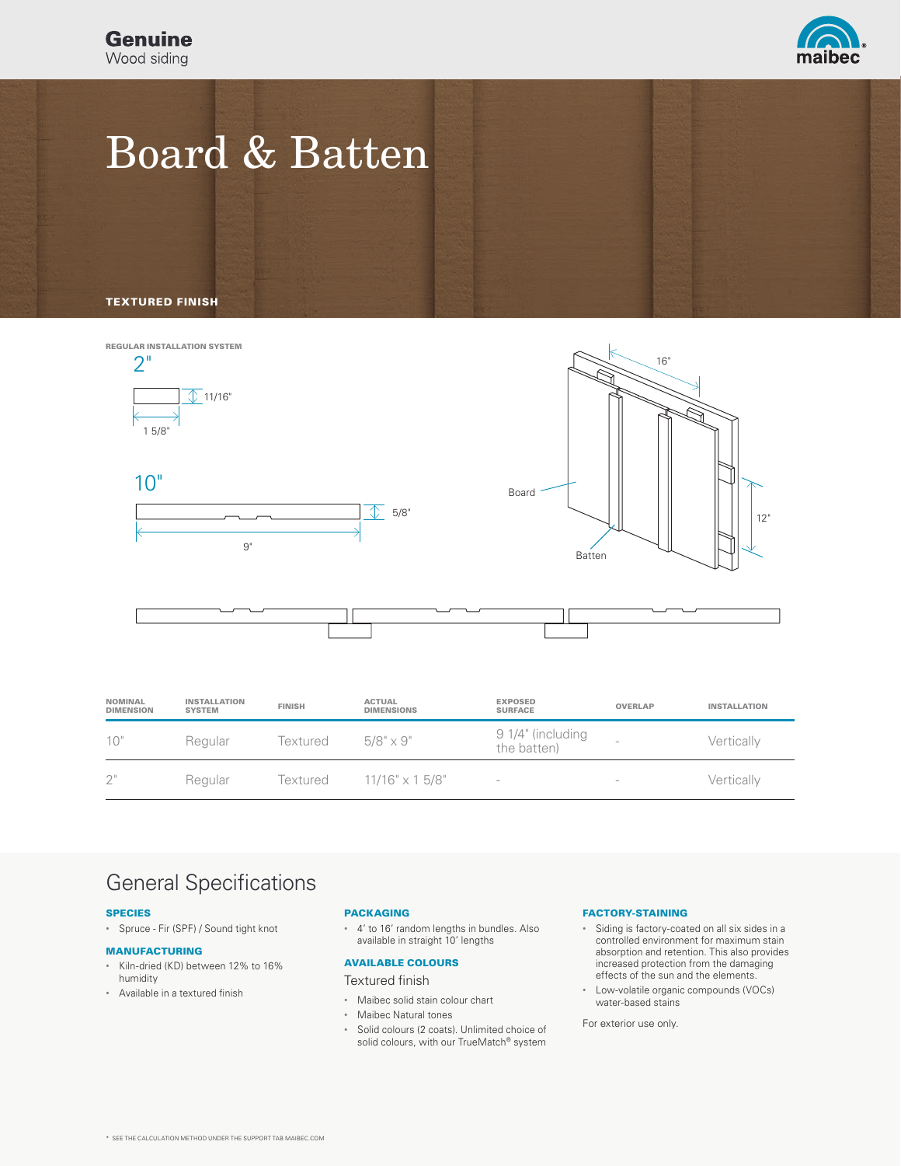**Genuine** Wood siding



# Board & Batten

TEXTURED FINISH



| <b>NOMINAL</b><br><b>DIMENSION</b> | <b>INSTALLATION</b><br><b>SYSTEM</b> | <b>FINISH</b> | <b>ACTUAL</b><br><b>DIMENSIONS</b> | <b>EXPOSED</b><br><b>SURFACE</b> | <b>OVERLAP</b>                  | <b>INSTALLATION</b> |
|------------------------------------|--------------------------------------|---------------|------------------------------------|----------------------------------|---------------------------------|---------------------|
| 10"                                | Regular                              | Textured      | $5/8" \times 9"$                   | 9 1/4" (including<br>the batten) | -                               | Vertically          |
| 2"                                 | Regular                              | Textured      | $11/16" \times 15/8"$              | $\hspace{0.1mm}-\hspace{0.1mm}$  | $\hspace{0.1mm}-\hspace{0.1mm}$ | Vertically          |

### General Specifications

#### SPECIES

• Spruce - Fir (SPF) / Sound tight knot

#### MANUFACTURING

- Kiln-dried (KD) between 12% to 16% humidity
- Available in a textured finish

### PACKAGING

• 4' to 16' random lengths in bundles. Also available in straight 10' lengths

### AVAILABLE COLOURS

### Textured finish

- Maibec solid stain colour chart
- Maibec Natural tones
- Solid colours (2 coats). Unlimited choice of solid colours, with our TrueMatch® system

### FACTORY-STAINING

- Siding is factory-coated on all six sides in a controlled environment for maximum stain absorption and retention. This also provides increased protection from the damaging effects of the sun and the elements.
- Low-volatile organic compounds (VOCs) water-based stains

For exterior use only.